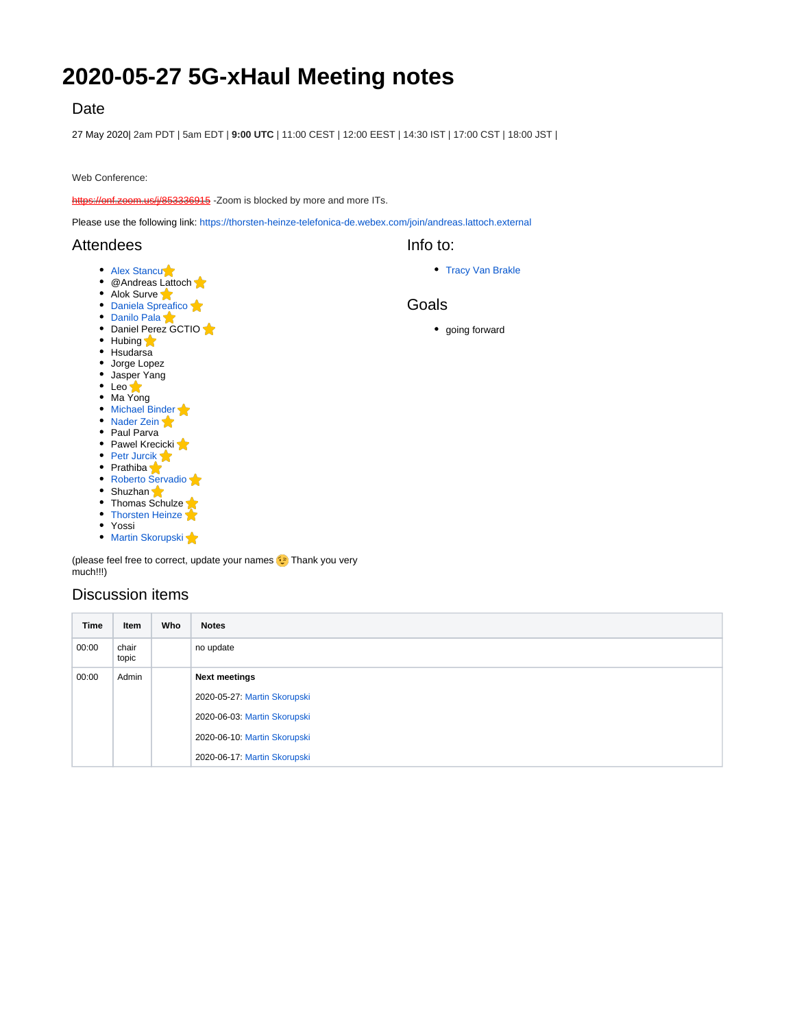# **2020-05-27 5G-xHaul Meeting notes**

## Date

27 May 2020| 2am PDT | 5am EDT | **9:00 UTC** | 11:00 CEST | 12:00 EEST | 14:30 IST | 17:00 CST | 18:00 JST |

Web Conference:

[https://onf.zoom.us/j/853336915](https://www.google.com/url?q=https%3A%2F%2Fonf.zoom.us%2Fj%2F853336915&sa=D&ust=1580240711669000&usg=AFQjCNEjJCza79rvXdROEzleOamr9Ja72Q) -Zoom is blocked by more and more ITs.

Please use the following link: <https://thorsten-heinze-telefonica-de.webex.com/join/andreas.lattoch.external>

### **Attendees**

- [Alex Stancu](https://wiki.opennetworking.org/display/~alexandrus)
- @Andreas Lattoch
- Alok Surve **[Daniela Spreafico](https://wiki.opennetworking.org/display/~spreafico.daniela)**
- [Danilo Pala](https://wiki.opennetworking.org/display/~danilo.pala)
- Daniel Perez GCTIO
- Hubing
- Hsudarsa
- Jorge Lopez
- Jasper Yang
- Leo
- Ma Yong • [Michael Binder](https://wiki.opennetworking.org/display/~michael.binder)
- [Nader Zein](https://wiki.opennetworking.org/display/~nader.zein)
- Paul Parva
- Pawel Krecicki
- [Petr Jurcik](https://wiki.opennetworking.org/display/~petr.jurcik)
- Prathiba
- [Roberto Servadio](https://wiki.opennetworking.org/display/~roberto.servadio)
- Shuzhan
- $\bullet$  Thomas Schulze • [Thorsten Heinze](https://wiki.opennetworking.org/display/~thorsten.heinze)
- 
- Yossi

• [Martin Skorupski](https://wiki.opennetworking.org/display/~demx8as6)

(please feel free to correct, update your names **c** Thank you very much!!!)

## Discussion items

| Time  | Item           | Who | <b>Notes</b>                 |
|-------|----------------|-----|------------------------------|
| 00:00 | chair<br>topic |     | no update                    |
| 00:00 | Admin          |     | <b>Next meetings</b>         |
|       |                |     | 2020-05-27: Martin Skorupski |
|       |                |     | 2020-06-03: Martin Skorupski |
|       |                |     | 2020-06-10: Martin Skorupski |
|       |                |     | 2020-06-17: Martin Skorupski |

• [Tracy Van Brakle](https://wiki.opennetworking.org/display/~tracyvb)

#### Goals

Info to:

• going forward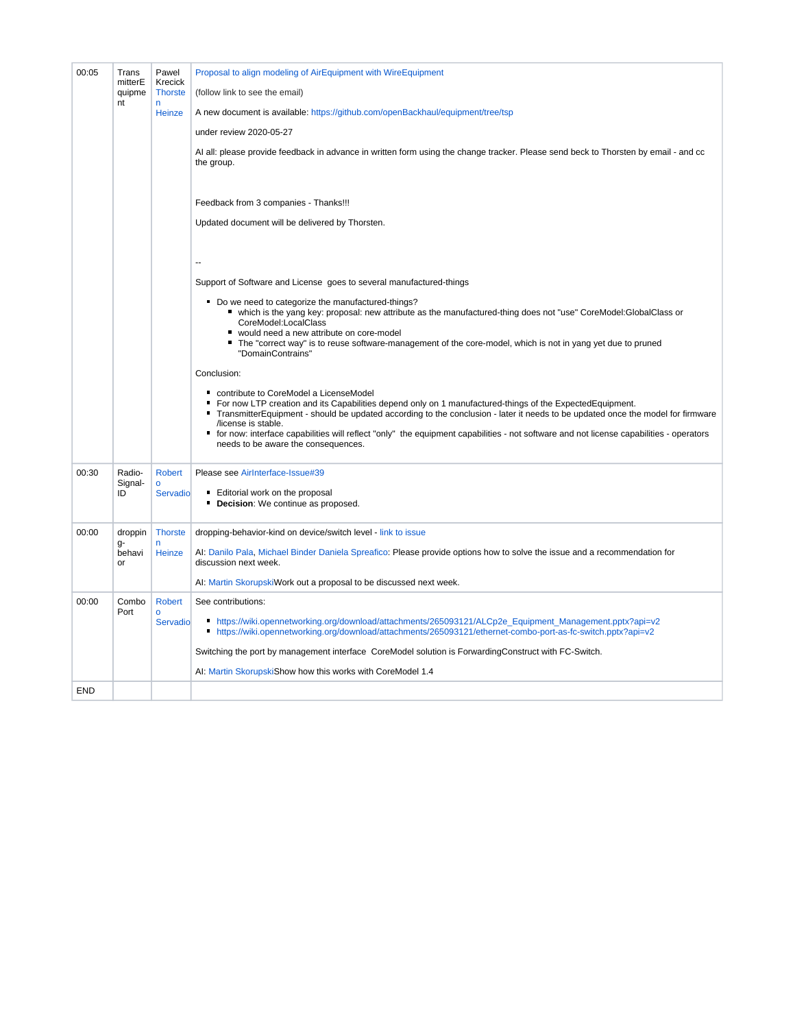| 00:05      | Trans<br>mitterE<br>quipme<br>nt | Pawel<br>Krecick<br><b>Thorste</b><br>n.<br>Heinze | Proposal to align modeling of AirEquipment with WireEquipment<br>(follow link to see the email)<br>A new document is available: https://github.com/openBackhaul/equipment/tree/tsp<br>under review 2020-05-27<br>Al all: please provide feedback in advance in written form using the change tracker. Please send beck to Thorsten by email - and cc<br>the group.<br>Feedback from 3 companies - Thanks!!!<br>Updated document will be delivered by Thorsten.<br>Support of Software and License goes to several manufactured-things |
|------------|----------------------------------|----------------------------------------------------|---------------------------------------------------------------------------------------------------------------------------------------------------------------------------------------------------------------------------------------------------------------------------------------------------------------------------------------------------------------------------------------------------------------------------------------------------------------------------------------------------------------------------------------|
|            |                                  |                                                    | Do we need to categorize the manufactured-things?<br>" which is the yang key: proposal: new attribute as the manufactured-thing does not "use" CoreModel:GlobalClass or<br>CoreModel:LocalClass<br>■ would need a new attribute on core-model<br>The "correct way" is to reuse software-management of the core-model, which is not in yang yet due to pruned<br>"DomainContrains"                                                                                                                                                     |
|            |                                  |                                                    | Conclusion:<br>contribute to CoreModel a LicenseModel<br>■ For now LTP creation and its Capabilities depend only on 1 manufactured-things of the ExpectedEquipment.<br>$\blacksquare$<br>TransmitterEquipment - should be updated according to the conclusion - later it needs to be updated once the model for firmware<br>/license is stable.<br>■ for now: interface capabilities will reflect "only" the equipment capabilities - not software and not license capabilities - operators<br>needs to be aware the consequences.    |
| 00:30      | Radio-<br>Signal-<br>ID          | <b>Robert</b><br>$\mathbf 0$<br>Servadio           | Please see Airlnterface-Issue#39<br>Editorial work on the proposal<br><b>Decision:</b> We continue as proposed.                                                                                                                                                                                                                                                                                                                                                                                                                       |
| 00:00      | droppin<br>g-<br>behavi<br>or    | <b>Thorste</b><br>n<br>Heinze                      | dropping-behavior-kind on device/switch level - link to issue<br>AI: Danilo Pala, Michael Binder Daniela Spreafico: Please provide options how to solve the issue and a recommendation for<br>discussion next week.<br>AI: Martin SkorupskiWork out a proposal to be discussed next week.                                                                                                                                                                                                                                             |
| 00:00      | Combo<br>Port                    | <b>Robert</b><br>$\circ$<br>Servadio               | See contributions:<br>Inttps://wiki.opennetworking.org/download/attachments/265093121/ALCp2e_Equipment_Management.pptx?api=v2<br>Inttps://wiki.opennetworking.org/download/attachments/265093121/ethernet-combo-port-as-fc-switch.pptx?api=v2<br>Switching the port by management interface CoreModel solution is ForwardingConstruct with FC-Switch.<br>AI: Martin SkorupskiShow how this works with CoreModel 1.4                                                                                                                   |
| <b>END</b> |                                  |                                                    |                                                                                                                                                                                                                                                                                                                                                                                                                                                                                                                                       |